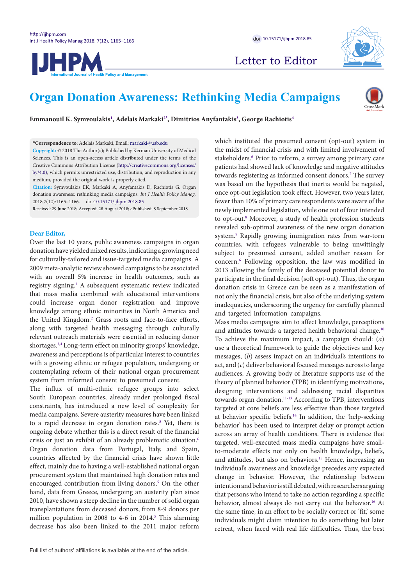



Letter to Editor



# **Organ Donation Awareness: Rethinking Media Campaigns**



**Emmanouil K. Symvoulakis[1](#page-1-0) , Adelais Markak[i2](#page-1-1)[\\*](#page-0-0) , Dimitrios Anyfantaki[s3](#page-1-2) , George Rachiotis[4](#page-1-3)**

<span id="page-0-0"></span>**\*Correspondence to:** Adelais Markaki, Email: markaki@uab.edu

**Copyright:** © 2018 The Author(s); Published by Kerman University of Medical Sciences. This is an open-access article distributed under the terms of the Creative Commons Attribution License (http://creativecommons.org/licenses/ by/4.0), which permits unrestricted use, distribution, and reproduction in any medium, provided the original work is properly cited.

**Citation:** Symvoulakis EK, Markaki A, Anyfantakis D, Rachiotis G. Organ donation awareness: rethinking media campaigns. *Int J Health Policy Manag.*  2018;7(12):1165–1166. doi:[10.15171/ijhpm.2018.85](https://doi.org/10.15171/ijhpm.2018.85 )

Received: 29 June 2018; Accepted: 28 August 2018; ePublished: 8 September 2018

## **Dear Editor,**

Over the last 10 years, public awareness campaigns in organ donation have yielded mixed results, indicating a growing need for culturally-tailored and issue-targeted media campaigns. A 2009 meta-analytic review showed campaigns to be associated with an overall 5% increase in health outcomes, such as registry signing.<sup>1</sup> A subsequent systematic review indicated that mass media combined with educational interventions could increase organ donor registration and improve knowledge among ethnic minorities in North America and the United Kingdom.<sup>[2](#page-1-5)</sup> Grass roots and face-to-face efforts, along with targeted health messaging through culturally relevant outreach materials were essential in reducing donor shortages[.3](#page-1-6),[4](#page-1-7) Long-term effect on minority groups' knowledge, awareness and perceptions is of particular interest to countries with a growing ethnic or refugee population, undergoing or contemplating reform of their national organ procurement system from informed consent to presumed consent.

The influx of multi-ethnic refugee groups into select South European countries, already under prolonged fiscal constraints, has introduced a new level of complexity for media campaigns. Severe austerity measures have been linked to a rapid decrease in organ donation rates.<sup>5</sup> Yet, there is ongoing debate whether this is a direct result of the financial crisis or just an exhibit of an already problematic situation.[6](#page-1-9) Organ donation data from Portugal, Italy, and Spain, countries affected by the financial crisis have shown little effect, mainly due to having a well-established national organ procurement system that maintained high donation rates and encouraged contribution from living donors.<sup>5</sup> On the other hand, data from Greece, undergoing an austerity plan since 2010, have shown a steep decline in the number of solid organ transplantations from deceased donors, from 8-9 donors per million population in 2008 to 4-6 in 2014.<sup>[5](#page-1-8)</sup> This alarming decrease has also been linked to the 2011 major reform which instituted the presumed consent (opt-out) system in the midst of financial crisis and with limited involvement of stakeholders.<sup>6</sup> Prior to reform, a survey among primary care patients had showed lack of knowledge and negative attitudes towards registering as informed consent donors.<sup>[7](#page-1-10)</sup> The survey was based on the hypothesis that inertia would be negated, once opt-out legislation took effect. However, two years later, fewer than 10% of primary care respondents were aware of the newly implemented legislation, while one out of four intended to opt-out.<sup>[8](#page-1-11)</sup> Moreover, a study of health profession students revealed sub-optimal awareness of the new organ donation system.[9](#page-1-12) Rapidly growing immigration rates from war-torn countries, with refugees vulnerable to being unwittingly subject to presumed consent, added another reason for concern.[6](#page-1-9) Following opposition, the law was modified in 2013 allowing the family of the deceased potential donor to participate in the final decision (soft opt-out). Thus, the organ donation crisis in Greece can be seen as a manifestation of not only the financial crisis, but also of the underlying system inadequacies, underscoring the urgency for carefully planned and targeted information campaigns.

Mass media campaigns aim to affect knowledge, perceptions and attitudes towards a targeted health behavioral change.<sup>10</sup> To achieve the maximum impact, a campaign should: (*a*) use a theoretical framework to guide the objectives and key messages, (*b*) assess impact on an individual's intentions to act, and (*c*) deliver behavioral focused messages across to large audiences. A growing body of literature supports use of the theory of planned behavior (TPB) in identifying motivations, designing interventions and addressing racial disparities towards organ donation[.11-](#page-1-14)[13](#page-1-15) According to TPB, interventions targeted at core beliefs are less effective than those targeted at behavior specific beliefs[.14](#page-1-16) In addition, the 'help-seeking behavior' has been used to interpret delay or prompt action across an array of health conditions. There is evidence that targeted, well-executed mass media campaigns have smallto-moderate effects not only on health knowledge, beliefs, and attitudes, but also on behaviors.<sup>15</sup> Hence, increasing an individual's awareness and knowledge precedes any expected change in behavior. However, the relationship between intention and behavior is still debated, with researchers arguing that persons who intend to take no action regarding a specific behavior, almost always do not carry out the behavior.<sup>16</sup> At the same time, in an effort to be socially correct or 'fit,' some individuals might claim intention to do something but later retreat, when faced with real life difficulties. Thus, the best